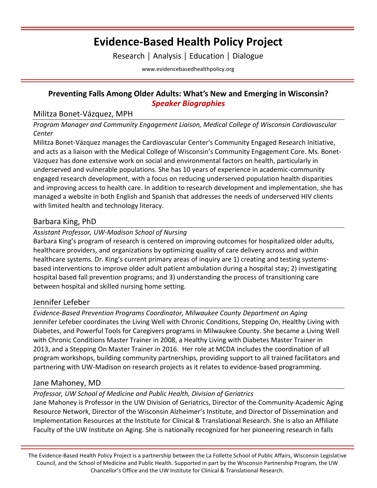# **Evidence-Based Health Policy Project**

Research │ Analysis │ Education │ Dialogue

[www.evidencebasedhealthpolicy.org](file:///C:/Users/randrae/Downloads/www.evidencebasedhealthpolicy.org)

### **Preventing Falls Among Older Adults: What's New and Emerging in Wisconsin?** *Speaker Biographies*

### Militza Bonet-Vázquez, MPH

*Program Manager and Community Engagement Liaison, Medical College of Wisconsin Cardiovascular Center*

Militza Bonet-Vázquez manages the Cardiovascular Center's Community Engaged Research Initiative, and acts as a liaison with the Medical College of Wisconsin's Community Engagement Core. Ms. Bonet-Vázquez has done extensive work on social and environmental factors on health, particularly in underserved and vulnerable populations. She has 10 years of experience in academic-community engaged research development, with a focus on reducing underserved population health disparities and improving access to health care. In addition to research development and implementation, she has managed a website in both English and Spanish that addresses the needs of underserved HIV clients with limited health and technology literacy.

### Barbara King, PhD

### *Assistant Professor, UW-Madison School of Nursing*

Barbara King's program of research is centered on improving outcomes for hospitalized older adults, healthcare providers, and organizations by optimizing quality of care delivery across and within healthcare systems. Dr. King's current primary areas of inquiry are 1) creating and testing systemsbased interventions to improve older adult patient ambulation during a hospital stay; 2) investigating hospital based fall prevention programs; and 3) understanding the process of transitioning care between hospital and skilled nursing home setting.

## Jennifer Lefeber

*Evidence-Based Prevention Programs Coordinator, Milwaukee County Department on Aging* Jennifer Lefeber coordinates the Living Well with Chronic Conditions, Stepping On, Healthy Living with Diabetes, and Powerful Tools for Caregivers programs in Milwaukee County. She became a Living Well with Chronic Conditions Master Trainer in 2008, a Healthy Living with Diabetes Master Trainer in 2013, and a Stepping On Master Trainer in 2016. Her role at MCDA includes the coordination of all program workshops, building community partnerships, providing support to all trained facilitators and partnering with UW-Madison on research projects as it relates to evidence-based programming.

## Jane Mahoney, MD

### *Professor, UW School of Medicine and Public Health, Division of Geriatrics*

Jane Mahoney is Professor in the UW Division of Geriatrics, Director of the Community-Academic Aging Resource Network, Director of the Wisconsin Alzheimer's Institute, and Director of Dissemination and Implementation Resources at the Institute for Clinical & Translational Research. She is also an Affiliate Faculty of the UW Institute on Aging. She is nationally recognized for her pioneering research in falls

The Evidence-Based Health Policy Project is a partnership between the La Follette School of Public Affairs, Wisconsin Legislative Council, and the School of Medicine and Public Health. Supported in part by the Wisconsin Partnership Program, the UW Chancellor's Office and the UW Institute for Clinical & Translational Research.